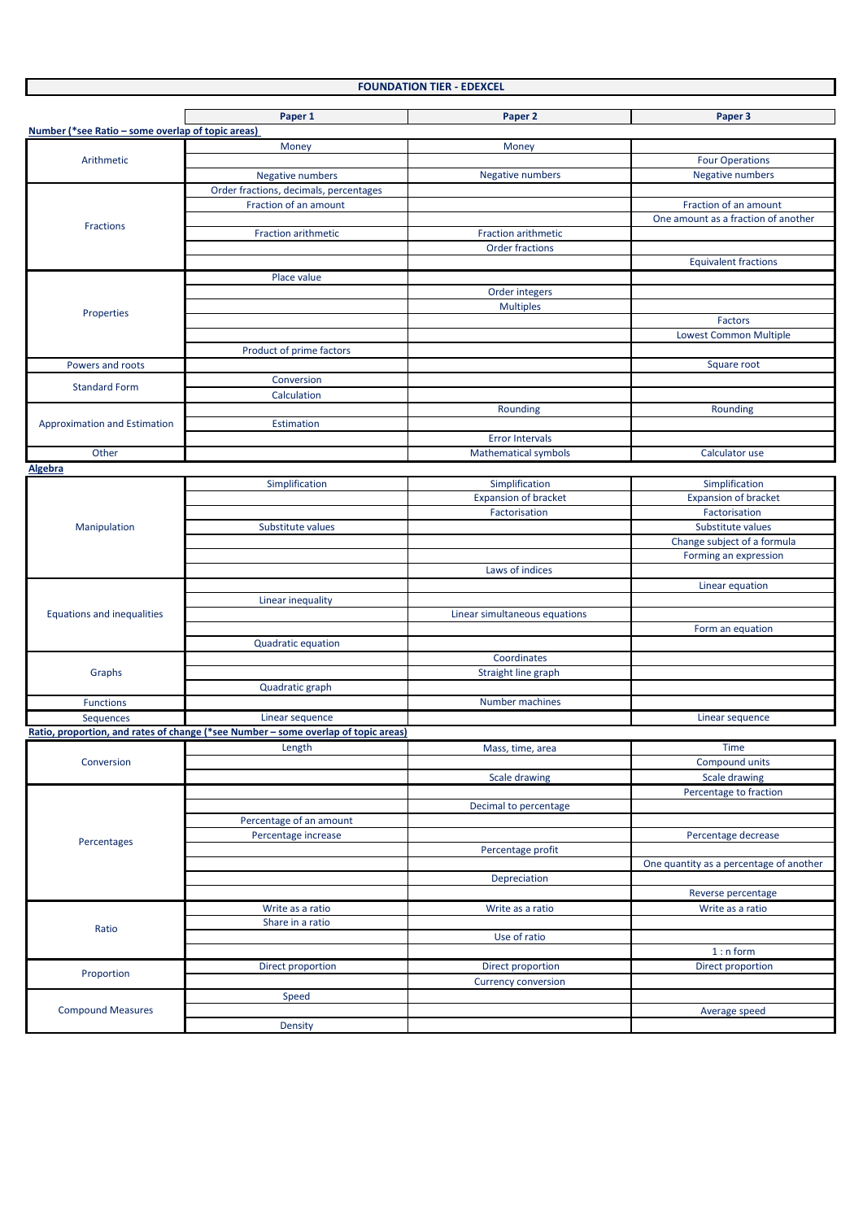| <b>FOUNDATION TIER - EDEXCEL</b> |
|----------------------------------|
|----------------------------------|

|                                                   | Paper 1                                                                            | Paper 2                       | Paper 3                                 |
|---------------------------------------------------|------------------------------------------------------------------------------------|-------------------------------|-----------------------------------------|
| Number (*see Ratio - some overlap of topic areas) |                                                                                    |                               |                                         |
|                                                   | Money                                                                              | Money                         |                                         |
| Arithmetic                                        |                                                                                    |                               | <b>Four Operations</b>                  |
|                                                   | <b>Negative numbers</b>                                                            | <b>Negative numbers</b>       | Negative numbers                        |
|                                                   | Order fractions, decimals, percentages                                             |                               |                                         |
|                                                   | Fraction of an amount                                                              |                               | Fraction of an amount                   |
|                                                   |                                                                                    |                               | One amount as a fraction of another     |
| Fractions                                         | Fraction arithmetic                                                                | Fraction arithmetic           |                                         |
|                                                   |                                                                                    | <b>Order fractions</b>        |                                         |
|                                                   |                                                                                    |                               | <b>Equivalent fractions</b>             |
|                                                   | Place value                                                                        |                               |                                         |
|                                                   |                                                                                    | Order integers                |                                         |
| Properties                                        |                                                                                    | <b>Multiples</b>              |                                         |
|                                                   |                                                                                    |                               | Factors                                 |
|                                                   |                                                                                    |                               | <b>Lowest Common Multiple</b>           |
|                                                   | Product of prime factors                                                           |                               |                                         |
| Powers and roots                                  |                                                                                    |                               | Square root                             |
| <b>Standard Form</b>                              | Conversion                                                                         |                               |                                         |
|                                                   | Calculation                                                                        |                               |                                         |
|                                                   |                                                                                    | Rounding                      | Rounding                                |
| <b>Approximation and Estimation</b>               | <b>Estimation</b>                                                                  |                               |                                         |
|                                                   |                                                                                    | <b>Error Intervals</b>        |                                         |
| Other                                             |                                                                                    | <b>Mathematical symbols</b>   | Calculator use                          |
| Algebra                                           |                                                                                    |                               |                                         |
|                                                   | Simplification                                                                     | Simplification                | Simplification                          |
|                                                   |                                                                                    | <b>Expansion of bracket</b>   | <b>Expansion of bracket</b>             |
|                                                   |                                                                                    | Factorisation                 | Factorisation                           |
| Manipulation                                      | Substitute values                                                                  |                               | Substitute values                       |
|                                                   |                                                                                    |                               | Change subject of a formula             |
|                                                   |                                                                                    |                               | Forming an expression                   |
|                                                   |                                                                                    | Laws of indices               |                                         |
|                                                   |                                                                                    |                               | Linear equation                         |
|                                                   | Linear inequality                                                                  |                               |                                         |
| <b>Equations and inequalities</b>                 |                                                                                    | Linear simultaneous equations |                                         |
|                                                   |                                                                                    |                               | Form an equation                        |
|                                                   | Quadratic equation                                                                 |                               |                                         |
|                                                   |                                                                                    | Coordinates                   |                                         |
| Graphs                                            |                                                                                    | Straight line graph           |                                         |
|                                                   | Quadratic graph                                                                    |                               |                                         |
| <b>Functions</b>                                  |                                                                                    | Number machines               |                                         |
| Sequences                                         | Linear sequence                                                                    |                               | Linear sequence                         |
|                                                   | Ratio, proportion, and rates of change (*see Number - some overlap of topic areas) |                               |                                         |
|                                                   | Length                                                                             | Mass, time, area              | <b>Time</b>                             |
| Conversion                                        |                                                                                    |                               | <b>Compound units</b>                   |
|                                                   |                                                                                    | Scale drawing                 | Scale drawing                           |
|                                                   |                                                                                    |                               | Percentage to fraction                  |
|                                                   |                                                                                    | Decimal to percentage         |                                         |
|                                                   | Percentage of an amount                                                            |                               |                                         |
|                                                   | Percentage increase                                                                |                               | Percentage decrease                     |
| Percentages                                       |                                                                                    | Percentage profit             |                                         |
|                                                   |                                                                                    |                               | One quantity as a percentage of another |
|                                                   |                                                                                    | Depreciation                  |                                         |
|                                                   |                                                                                    |                               | Reverse percentage                      |
|                                                   | Write as a ratio                                                                   | Write as a ratio              | Write as a ratio                        |
|                                                   | Share in a ratio                                                                   |                               |                                         |
| Ratio                                             |                                                                                    | Use of ratio                  |                                         |
|                                                   |                                                                                    |                               | $1: n$ form                             |
|                                                   | Direct proportion                                                                  | Direct proportion             | Direct proportion                       |
| Proportion                                        |                                                                                    | <b>Currency conversion</b>    |                                         |
|                                                   | Speed                                                                              |                               |                                         |
| <b>Compound Measures</b>                          |                                                                                    |                               | Average speed                           |
|                                                   | Density                                                                            |                               |                                         |